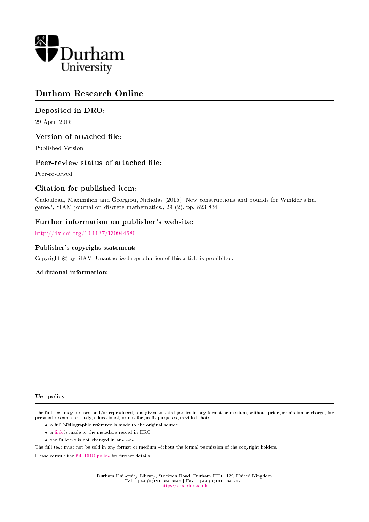

# Durham Research Online

## Deposited in DRO:

29 April 2015

### Version of attached file:

Published Version

### Peer-review status of attached file:

Peer-reviewed

## Citation for published item:

Gadouleau, Maximilien and Georgiou, Nicholas (2015) 'New constructions and bounds for Winkler's hat game.', SIAM journal on discrete mathematics., 29 (2). pp. 823-834.

### Further information on publisher's website:

<http://dx.doi.org/10.1137/130944680>

#### Publisher's copyright statement:

Copyright  $\odot$  by SIAM. Unauthorized reproduction of this article is prohibited.

### Additional information:

#### Use policy

The full-text may be used and/or reproduced, and given to third parties in any format or medium, without prior permission or charge, for personal research or study, educational, or not-for-profit purposes provided that:

- a full bibliographic reference is made to the original source
- a [link](http://dro.dur.ac.uk/15306/) is made to the metadata record in DRO
- the full-text is not changed in any way

The full-text must not be sold in any format or medium without the formal permission of the copyright holders.

Please consult the [full DRO policy](https://dro.dur.ac.uk/policies/usepolicy.pdf) for further details.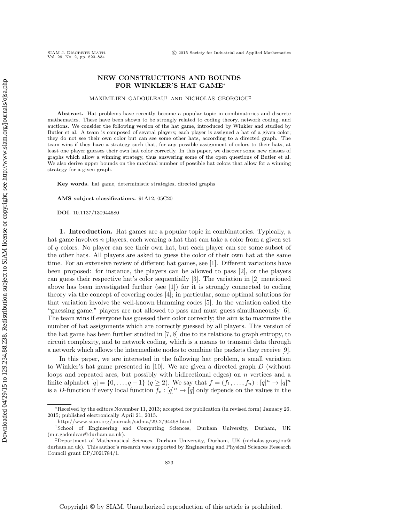#### **NEW CONSTRUCTIONS AND BOUNDS FOR WINKLER'S HAT GAME**<sup>∗</sup>

MAXIMILIEN GADOULEAU† AND NICHOLAS GEORGIOU‡

**Abstract.** Hat problems have recently become a popular topic in combinatorics and discrete mathematics. These have been shown to be strongly related to coding theory, network coding, and auctions. We consider the following version of the hat game, introduced by Winkler and studied by Butler et al. A team is composed of several players; each player is assigned a hat of a given color; they do not see their own color but can see some other hats, according to a directed graph. The team wins if they have a strategy such that, for any possible assignment of colors to their hats, at least one player guesses their own hat color correctly. In this paper, we discover some new classes of graphs which allow a winning strategy, thus answering some of the open questions of Butler et al. We also derive upper bounds on the maximal number of possible hat colors that allow for a winning strategy for a given graph.

**Key words.** hat game, deterministic strategies, directed graphs

**AMS subject classifications.** 91A12, 05C20

**DOI.** 10.1137/130944680

**1. Introduction.** Hat games are a popular topic in combinatorics. Typically, a hat game involves *n* players, each wearing a hat that can take a color from a given set of q colors. No player can see their own hat, but each player can see some subset of the other hats. All players are asked to guess the color of their own hat at the same time. For an extensive review of different hat games, see [\[1\]](#page-12-0). Different variations have been proposed: for instance, the players can be allowed to pass [\[2\]](#page-12-1), or the players can guess their respective hat's color sequentially [\[3\]](#page-12-2). The variation in [\[2\]](#page-12-1) mentioned above has been investigated further (see [\[1\]](#page-12-0)) for it is strongly connected to coding theory via the concept of covering codes [\[4\]](#page-12-3); in particular, some optimal solutions for that variation involve the well-known Hamming codes [\[5\]](#page-12-4). In the variation called the "guessing game," players are not allowed to pass and must guess simultaneously [\[6\]](#page-12-5). The team wins if everyone has guessed their color correctly; the aim is to maximize the number of hat assignments which are correctly guessed by all players. This version of the hat game has been further studied in [\[7,](#page-12-6) [8\]](#page-12-7) due to its relations to graph entropy, to circuit complexity, and to network coding, which is a means to transmit data through a network which allows the intermediate nodes to combine the packets they receive [\[9\]](#page-12-8).

In this paper, we are interested in the following hat problem, a small variation to Winkler's hat game presented in [\[10\]](#page-12-9). We are given a directed graph D (without loops and repeated arcs, but possibly with bidirectional edges) on  $n$  vertices and a finite alphabet  $[q] = \{0, \ldots, q-1\}$   $(q \ge 2)$ . We say that  $f = (f_1, \ldots, f_n) : [q]^n \rightarrow [q]^n$ is a D-function if every local function  $f_v : [q]^n \to [q]$  only depends on the values in the

<sup>∗</sup>Received by the editors November 11, 2013; accepted for publication (in revised form) January 26, 2015; published electronically April 21, 2015.

<http://www.siam.org/journals/sidma/29-2/94468.html>

<sup>†</sup>School of Engineering and Computing Sciences, Durham University, Durham, UK [\(m.r.gadouleau@durham.ac.uk\)](mailto:m.r.gadouleau@durham.ac.uk).

<sup>‡</sup>Department of Mathematical Sciences, Durham University, Durham, UK [\(nicholas.georgiou@](mailto:nicholas.georgiou@durham.ac.uk) [durham.ac.uk\)](mailto:nicholas.georgiou@durham.ac.uk). This author's research was supported by Engineering and Physical Sciences Research Council grant EP/J021784/1.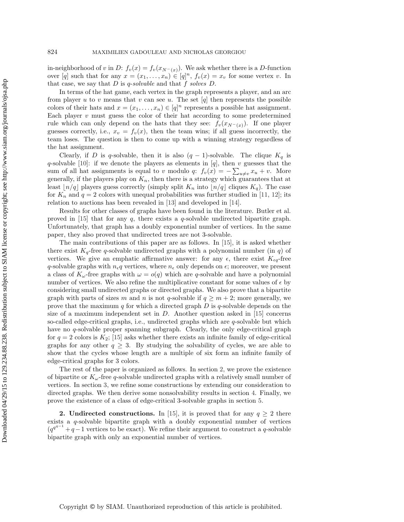in-neighborhood of v in D:  $f_v(x) = f_v(x_{N^-(x)})$ . We ask whether there is a D-function over [q] such that for any  $x = (x_1, \ldots, x_n) \in [q]^n$ ,  $f_v(x) = x_v$  for some vertex v. In that case, we say that D is q-*solvable* and that f *solves* D.

In terms of the hat game, each vertex in the graph represents a player, and an arc from player u to v means that v can see u. The set  $[q]$  then represents the possible colors of their hats and  $x = (x_1, \ldots, x_n) \in [q]^n$  represents a possible hat assignment. Each player  $v$  must guess the color of their hat according to some predetermined rule which can only depend on the hats that they see:  $f_v(x_{N^-(x)})$ . If one player guesses correctly, i.e.,  $x_v = f_v(x)$ , then the team wins; if all guess incorrectly, the team loses. The question is then to come up with a winning strategy regardless of the hat assignment.

Clearly, if D is q-solvable, then it is also  $(q-1)$ -solvable. The clique  $K_q$  is q-solvable [\[10\]](#page-12-9): if we denote the players as elements in [q], then v guesses that the sum of all hat assignments is equal to v modulo q:  $f_v(x) = -\sum_{u \neq v} x_u + v$ . More generally, if the players play on  $K_n$ , then there is a strategy which guarantees that at least  $|n/q|$  players guess correctly (simply split  $K_n$  into  $|n/q|$  cliques  $K_q$ ). The case for  $K_n$  and  $q = 2$  colors with unequal probabilities was further studied in [\[11,](#page-12-10) [12\]](#page-12-11); its relation to auctions has been revealed in [\[13\]](#page-12-12) and developed in [\[14\]](#page-12-13).

Results for other classes of graphs have been found in the literature. Butler et al. proved in [\[15\]](#page-12-14) that for any  $q$ , there exists a  $q$ -solvable undirected bipartite graph. Unfortunately, that graph has a doubly exponential number of vertices. In the same paper, they also proved that undirected trees are not 3-solvable.

The main contributions of this paper are as follows. In [\[15\]](#page-12-14), it is asked whether there exist  $K_q$ -free q-solvable undirected graphs with a polynomial number (in q) of vertices. We give an emphatic affirmative answer: for any  $\epsilon$ , there exist  $K_{\epsilon q}$ -free q-solvable graphs with  $n_{\epsilon}q$  vertices, where  $n_{\epsilon}$  only depends on  $\epsilon$ ; moreover, we present a class of  $K_{\omega}$ -free graphs with  $\omega = o(q)$  which are q-solvable and have a polynomial number of vertices. We also refine the multiplicative constant for some values of  $\epsilon$  by considering small undirected graphs or directed graphs. We also prove that a bipartite graph with parts of sizes m and n is not q-solvable if  $q \ge m+2$ ; more generally, we prove that the maximum q for which a directed graph  $D$  is q-solvable depends on the size of a maximum independent set in  $D$ . Another question asked in [\[15\]](#page-12-14) concerns so-called edge-critical graphs, i.e., undirected graphs which are q-solvable but which have no q-solvable proper spanning subgraph. Clearly, the only edge-critical graph for  $q = 2$  colors is  $K_2$ ; [\[15\]](#page-12-14) asks whether there exists an infinite family of edge-critical graphs for any other  $q \geq 3$ . By studying the solvability of cycles, we are able to show that the cycles whose length are a multiple of six form an infinite family of edge-critical graphs for 3 colors.

The rest of the paper is organized as follows. In section [2,](#page-2-0) we prove the existence of bipartite or  $K_{\omega}$ -free q-solvable undirected graphs with a relatively small number of vertices. In section [3,](#page-5-0) we refine some constructions by extending our consideration to directed graphs. We then derive some nonsolvability results in section [4.](#page-7-0) Finally, we prove the existence of a class of edge-critical 3-solvable graphs in section [5.](#page-9-0)

<span id="page-2-0"></span>**2. Undirected constructions.** In [\[15\]](#page-12-14), it is proved that for any  $q \ge 2$  there exists a  $q$ -solvable bipartite graph with a doubly exponential number of vertices  $(q^{q^{q-1}}+q-1)$  vertices to be exact). We refine their argument to construct a q-solvable bipartite graph with only an exponential number of vertices.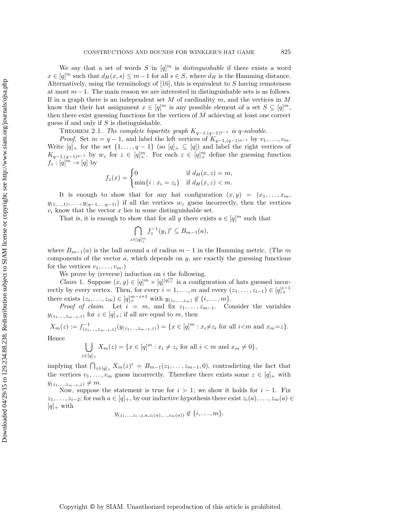We say that a set of words S in  $[q]^m$  is *distinguishable* if there exists a word  $x \in [q]^m$  such that  $d_H(x, s) \leq m-1$  for all  $s \in S$ , where  $d_H$  is the Hamming distance. Alternatively, using the terminology of  $[16]$ , this is equivalent to S having remoteness at most  $m-1$ . The main reason we are interested in distinguishable sets is as follows. If in a graph there is an independent set M of cardinality  $m$ , and the vertices in M know that their hat assignment  $x \in [q]^m$  is any possible element of a set  $S \subseteq [q]^m$ , then there exist guessing functions for the vertices of M achieving at least one correct guess if and only if  $S$  is distinguishable.

<span id="page-3-0"></span>THEOREM 2.1. *The complete bipartite graph*  $K_{q-1,(q-1)^{q-1}}$  *is* q-solvable.

*Proof.* Set  $m = q - 1$ , and label the left vertices of  $K_{q-1,(q-1)^{q-1}}$  by  $v_1, \ldots, v_m$ .<br>Write  $[q]_+$  for the set  $\{1, \ldots, q-1\}$  (so  $[q]_+ \subseteq [q]$ ) and label the right vertices of Write  $[q]_+$  for the set  $\{1,\ldots,q-1\}$  (so  $[q]_+ \subseteq [q]$ ) and label the right vertices of  $K_{q-1,(q-1)^{q-1}}$  by  $w_z$  for  $z \in [q]^m_+$ . For each  $z \in [q]^m_+$  define the guessing function  $f_z: [q]^m \to [q]$  by

$$
f_z(x) = \begin{cases} 0 & \text{if } d_H(x, z) = m, \\ \min\{i : x_i = z_i\} & \text{if } d_H(x, z) < m. \end{cases}
$$

It is enough to show that for any hat configuration  $(x, y) = (x_1, \ldots, x_m, y)$  $y_{(1,...,1)},\ldots,y_{(q-1,...,q-1)})$  if all the vertices  $w_z$  guess incorrectly, then the vertices  $v_i$  know that the vector  $x$  lies in some distinguishable set.

That is, it is enough to show that for all y there exists  $a \in [q]^m$  such that

$$
\bigcap_{z \in [q]_+^m} f_z^{-1}(y_z)^c \subseteq B_{m-1}(a),
$$

where  $B_{m-1}(a)$  is the ball around a of radius  $m-1$  in the Hamming metric. (The m components of the vector  $a$ , which depends on  $y$ , are exactly the guessing functions for the vertices  $v_1, \ldots, v_m$ .

We prove by (reverse) induction on  $i$  the following.

*Claim* 1. Suppose  $(x, y) \in [q]^m \times [q]^{[q]^m+}$  is a configuration of hats guessed incorrectly by every vertex. Then, for every  $i = 1, \ldots, m$  and every  $(z_1, \ldots, z_{i-1}) \in [q]_+^{i-1}$ there exists  $(z_i, \ldots, z_m) \in [q]^{m-i+1}$  with  $y_{(z_1, \ldots, z_m)} \notin \{i, \ldots, m\}$ .<br>Proof of claim Let  $i = m$  and fix  $z \in \mathbb{C}$ . Consider the variable

*Proof of claim.* Let  $i = m$ , and fix  $z_1, \ldots, z_{m-1}$ . Consider the variables  $y_{(z_1,...,z_{m-1},z)}$  for  $z \in [q]_+$ ; if all are equal to m, then

 $X_m(z) := f_{(z_1,...,z_{m-1},z)}^{-1}(y_{(z_1,...,z_{m-1},z)}) = \{x \in [q]^m : x_i \neq z_i \text{ for all } i < m \text{ and } x_m = z\}.$ Hence

$$
\bigcup_{z \in [q]_+} X_m(z) = \{ x \in [q]^m : x_i \neq z_i \text{ for all } i < m \text{ and } x_m \neq 0 \},
$$

implying that  $\bigcap_{z \in [q]+} X_m(z)^c = B_{m-1}(z_1, \ldots, z_{m-1}, 0)$ , contradicting the fact that the vertices  $v_1, \ldots, v_m$  guess incorrectly. Therefore there exists some  $z \in [q]_+$  with  $y_{(z_1,...,z_{m-1},z)} \neq m.$ 

Now, suppose the statement is true for  $i > 1$ ; we show it holds for  $i - 1$ . Fix  $z_1,\ldots,z_{i-2}$ ; for each  $a \in [q]_+$ , by our inductive hypothesis there exist  $z_i(a),\ldots,z_m(a) \in$  $[q]_+$  with

$$
y_{(z_1,...,z_{i-2},a,z_i(a),...,z_m(a))} \notin \{i,...,m\}.
$$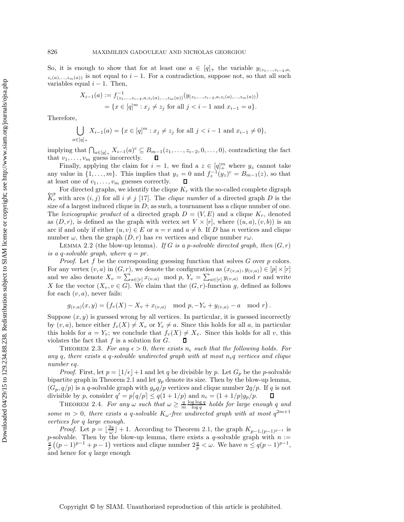So, it is enough to show that for at least one  $a \in [q]_+$  the variable  $y_{(z_1,...,z_{i-2},a_i)}$  $z_i(a),...,z_m(a)$  is not equal to  $i-1$ . For a contradiction, suppose not, so that all such variables equal  $i - 1$ . Then,

$$
X_{i-1}(a) := f_{(z_1,\ldots,z_{i-2},a,z_i(a),\ldots,z_m(a))}^{-1}(y_{(z_1,\ldots,z_{i-2},a,z_i(a),\ldots,z_m(a))})
$$
  
=  $\{x \in [q]^m : x_j \neq z_j \text{ for all } j < i-1 \text{ and } x_{i-1} = a\}.$ 

Therefore,

$$
\bigcup_{a \in [q]_+} X_{i-1}(a) = \{ x \in [q]^m : x_j \neq z_j \text{ for all } j < i-1 \text{ and } x_{i-1} \neq 0 \},
$$

implying that  $\bigcap_{a \in [q]_+} X_{i-1}(a)^c \subseteq B_{m-1}(z_1,\ldots,z_{i-2},0,\ldots,0)$ , contradicting the fact that  $v_1, \ldots, v_m$  guess incorrectly.

Finally, applying the claim for  $i = 1$ , we find a  $z \in [q]^m$  where  $y_z$  cannot take any value in  $\{1,\ldots,m\}$ . This implies that  $y_z = 0$  and  $f_z^{-1}(y_z)^c = B_{m-1}(z)$ , so that at least one of  $v_1,\ldots,v_m$  guesses correctly. at least one of  $v_1, \ldots, v_m$  guesses correctly.  $\Box$ <br>For directed graphs, we identify the clique  $K_r$  with the so-called complete digraph

 $\overleftrightarrow{K_r}$  with arcs  $(i, j)$  for all  $i \neq j$  [\[17\]](#page-12-16). The *clique number* of a directed graph D is the size of a largest induced clique in  $D$ ; as such, a tournament has a clique number of one. The *lexicographic product* of a directed graph  $D = (V, E)$  and a clique  $K_r$ , denoted as  $(D, r)$ , is defined as the graph with vertex set  $V \times [r]$ , where  $((u, a), (v, b))$  is an arc if and only if either  $(u, v) \in E$  or  $u = v$  and  $a \neq b$ . If D has n vertices and clique number  $\omega$ , then the graph  $(D, r)$  has rn vertices and clique number r $\omega$ .

LEMMA 2.2 (the blow-up lemma). *If* G is a p-solvable directed graph, then  $(G, r)$ *is a q-solvable graph, where*  $q = pr$ .

*Proof.* Let f be the corresponding guessing function that solves G over p colors. For any vertex  $(v, a)$  in  $(G, r)$ , we denote the configuration as  $(x_{(v,a)}, y_{(v,a)}) \in [p] \times [r]$ and we also denote  $X_v = \sum_{a \in [r]} x_{(v,a)} \mod p$ ,  $Y_v = \sum_{a \in [r]} y_{(v,a)} \mod r$  and write X for the vector  $(X_v, v \in G)$ . We claim that the  $(G, r)$ -function g, defined as follows for each  $(v, a)$ , never fails:

$$
g_{(v,a)}(x,y) = (f_v(X) - X_v + x_{(v,a)} \mod p, -Y_v + y_{(v,a)} - a \mod r).
$$

Suppose  $(x, y)$  is guessed wrong by all vertices. In particular, it is guessed incorrectly by  $(v, a)$ , hence either  $f_v(X) \neq X_v$  or  $Y_v \neq a$ . Since this holds for all a, in particular this holds for  $a = Y_v$ ; we conclude that  $f_v(X) \neq X_v$ . Since this holds for all v, this violates the fact that  $f$  is a solution for  $G$ . 口

THEOREM 2.3. For any  $\epsilon > 0$ , there exists  $n_{\epsilon}$  such that the following holds. For any  $q$ , there exists a  $q$ -solvable undirected graph with at most  $n_{\epsilon}q$  vertices and clique  $number \epsilon q$ .

*Proof.* First, let  $p = \lfloor 1/\epsilon \rfloor + 1$  and let q be divisible by p. Let  $G_p$  be the p-solvable bipartite graph in Theorem [2.1](#page-3-0) and let  $g_p$  denote its size. Then by the blow-up lemma,  $(G_p, q/p)$  is a q-solvable graph with  $g_pq/p$  vertices and clique number  $2q/p$ . If q is not divisible by p, consider  $q' = p\llbracket q/p \rrbracket \leq q(1+1/p)$  and  $n_{\epsilon} = (1+1/p)g_p/p$ .  $\Box$ 

THEOREM 2.4. For any  $\omega$  such that  $\omega \geq \frac{q}{m} \frac{\log \log q}{\log q}$  holds for large enough q and *some*  $m > 0$ *, there exists a q-solvable*  $K_{\omega}$ -free undirected graph with at most  $q^{2m+1}$ *vertices for* q *large enough.*

*Proof.* Let  $p = \lfloor \frac{2q}{\omega} \rfloor + 1$ . According to Theorem [2.1,](#page-3-0) the graph  $K_{p-1,(p-1)^{p-1}}$  is p-solvable. Then by the blow-up lemma, there exists a q-solvable graph with  $n :=$  $\frac{p}{p}((p-1)^{p-1}+p-1)$  vertices and clique number  $2\frac{q}{p} < \omega$ . We have  $n \leq q(p-1)^{p-1}$ , and hence for  $q$  large enough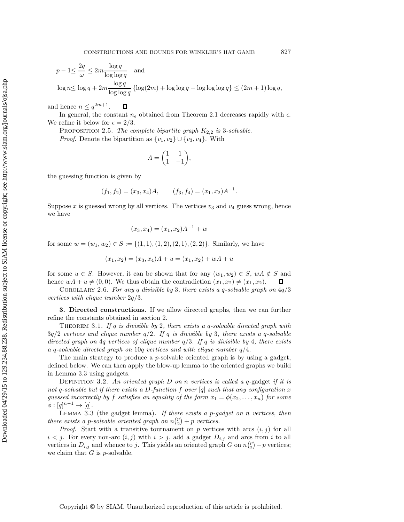$$
p - 1 \le \frac{2q}{\omega} \le 2m \frac{\log q}{\log \log q} \quad \text{and}
$$
  

$$
\log n \le \log q + 2m \frac{\log q}{\log \log q} \left\{ \log(2m) + \log \log q - \log \log \log q \right\} \le (2m + 1) \log q,
$$

and hence  $n \leq q^{2m+1}$ .  $\Box$ 

In general, the constant  $n_{\epsilon}$  obtained from Theorem [2.1](#page-3-0) decreases rapidly with  $\epsilon$ . We refine it below for  $\epsilon = 2/3$ .

PROPOSITION 2.5. *The complete bipartite graph*  $K_{2,2}$  *is* 3*-solvable. Proof.* Denote the bipartition as  $\{v_1, v_2\} \cup \{v_3, v_4\}$ . With

$$
A = \begin{pmatrix} 1 & 1 \\ 1 & -1 \end{pmatrix},
$$

the guessing function is given by

$$
(f_1, f_2) = (x_3, x_4)A,
$$
  $(f_3, f_4) = (x_1, x_2)A^{-1}.$ 

Suppose  $x$  is guessed wrong by all vertices. The vertices  $v_3$  and  $v_4$  guess wrong, hence we have

$$
(x_3, x_4) = (x_1, x_2)A^{-1} + w
$$

for some  $w = (w_1, w_2) \in S := \{(1, 1), (1, 2), (2, 1), (2, 2)\}.$  Similarly, we have

$$
(x_1, x_2) = (x_3, x_4)A + u = (x_1, x_2) + wA + u
$$

for some  $u \in S$ . However, it can be shown that for any  $(w_1, w_2) \in S$ ,  $wA \notin S$  and hence  $wA + u \neq (0, 0)$ . We thus obtain the contradiction  $(x_1, x_2) \neq (x_1, x_2)$ .

Corollary 2.6. *For any* q *divisible by* 3*, there exists a* q*-solvable graph on* 4q/3 *vertices with clique number* 2q/3*.*

<span id="page-5-0"></span>**3. Directed constructions.** If we allow directed graphs, then we can further refine the constants obtained in section [2.](#page-2-0)

Theorem 3.1. *If* q *is divisible by* 2*, there exists a* q*-solvable directed graph with* 3q/2 *vertices and clique number* q/2*. If* q *is divisible by* 3*, there exists a* q*-solvable directed graph on* 4q *vertices of clique number* q/3*. If* q *is divisible by* 4*, there exists a* q*-solvable directed graph on* 10q *vertices and with clique number* q/4*.*

The main strategy to produce a  $p$ -solvable oriented graph is by using a gadget, defined below. We can then apply the blow-up lemma to the oriented graphs we build in Lemma [3.3](#page-5-1) using gadgets.

Definition 3.2. *An oriented graph* D *on* n *vertices is called a* q*-*gadget *if it is not* q*-solvable but if there exists a* D*-function* f *over* [q] *such that any configuration* x *guessed incorrectly by* f *satisfies an equality of the form*  $x_1 = \phi(x_2, \ldots, x_n)$  for some  $\phi : [q]^{n-1} \to [q].$ 

<span id="page-5-1"></span>Lemma 3.3 (the gadget lemma). *If there exists a* p*-gadget on* n *vertices, then there exists a p-solvable oriented graph on*  $n\binom{p}{2} + p$  *vertices.* 

*Proof.* Start with a transitive tournament on  $p$  vertices with arcs  $(i, j)$  for all  $i < j$ . For every non-arc  $(i, j)$  with  $i > j$ , add a gadget  $D_{i,j}$  and arcs from i to all vertices in  $D_{i,j}$  and whence to j. This yields an oriented graph G on  $n{p \choose 2} + p$  vertices; we claim that  $G$  is  $p$ -solvable.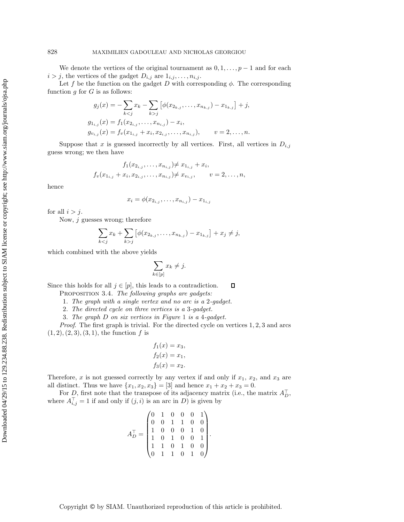We denote the vertices of the original tournament as  $0, 1, \ldots, p-1$  and for each  $i>j$ , the vertices of the gadget  $D_{i,j}$  are  $1_{i,j},\ldots,n_{i,j}$ .

Let f be the function on the gadget D with corresponding  $\phi$ . The corresponding function  $q$  for  $G$  is as follows:

$$
g_j(x) = -\sum_{k < j} x_k - \sum_{k > j} \left[ \phi(x_{2_{k,j}}, \dots, x_{n_{k,j}}) - x_{1_{k,j}} \right] + j,
$$
\n
$$
g_{1_{i,j}}(x) = f_1(x_{2_{i,j}}, \dots, x_{n_{i,j}}) - x_i,
$$
\n
$$
g_{v_{i,j}}(x) = f_v(x_{1_{i,j}} + x_i, x_{2_{i,j}}, \dots, x_{n_{i,j}}), \qquad v = 2, \dots, n.
$$

Suppose that x is guessed incorrectly by all vertices. First, all vertices in  $D_{i,j}$ guess wrong; we then have

$$
f_1(x_{2_{i,j}},\ldots,x_{n_{i,j}}) \neq x_{1_{i,j}} + x_i,
$$
  

$$
f_v(x_{1_{i,j}} + x_i, x_{2_{i,j}},\ldots,x_{n_{i,j}}) \neq x_{v_{i,j}}, \qquad v = 2,\ldots,n,
$$

hence

$$
x_i = \phi(x_{2_{i,j}}, \ldots, x_{n_{i,j}}) - x_{1_{i,j}}
$$

for all  $i>j$ .

Now, j guesses wrong; therefore

$$
\sum_{k < j} x_k + \sum_{k > j} \left[ \phi(x_{2_{k,j}}, \dots, x_{n_{k,j}}) - x_{1_{k,j}} \right] + x_j \neq j,
$$

which combined with the above yields

$$
\sum_{k\in[p]} x_k \neq j.
$$

<span id="page-6-0"></span>Since this holds for all  $j \in [p]$ , this leads to a contradiction.  $\Box$ 

Proposition 3.4. *The following graphs are gadgets:*

1. *The graph with a single vertex and no arc is a* 2*-gadget.*

2. *The directed cycle on three vertices is a* 3*-gadget.*

3. *The graph* D *on six vertices in Figure* [1](#page-7-1) *is a* 4*-gadget.*

*Proof*. The first graph is trivial. For the directed cycle on vertices 1, 2, 3 and arcs  $(1, 2), (2, 3), (3, 1),$  the function f is

$$
f_1(x) = x_3,
$$
  
\n
$$
f_2(x) = x_1,
$$
  
\n
$$
f_3(x) = x_2.
$$

Therefore, x is not guessed correctly by any vertex if and only if  $x_1, x_2$ , and  $x_3$  are all distinct. Thus we have  $\{x_1, x_2, x_3\} = [3]$  and hence  $x_1 + x_2 + x_3 = 0$ .

For D, first note that the transpose of its adjacency matrix (i.e., the matrix  $A_D^+$ ), where  $A_{i,j}^{\perp} = 1$  if and only if  $(j,i)$  is an arc in D) is given by

| $A_D^{\dagger} =$ |  |                                                                                             |                                       | $\begin{pmatrix} 0 & 1 \\ 0 & 0 \end{pmatrix}$ |  |
|-------------------|--|---------------------------------------------------------------------------------------------|---------------------------------------|------------------------------------------------|--|
|                   |  |                                                                                             | $\overline{0}$                        |                                                |  |
|                   |  |                                                                                             | $\begin{array}{c} 1 \\ 0 \end{array}$ |                                                |  |
|                   |  |                                                                                             |                                       | $\begin{bmatrix} 1 \\ 0 \end{bmatrix}$         |  |
|                   |  |                                                                                             |                                       |                                                |  |
|                   |  | $\begin{array}{cccc} 0&1&0&0\\ 0&0&1&1\\ 1&0&0&0\\ 1&0&1&0\\ 1&1&0&1\\ 0&1&1&0 \end{array}$ |                                       |                                                |  |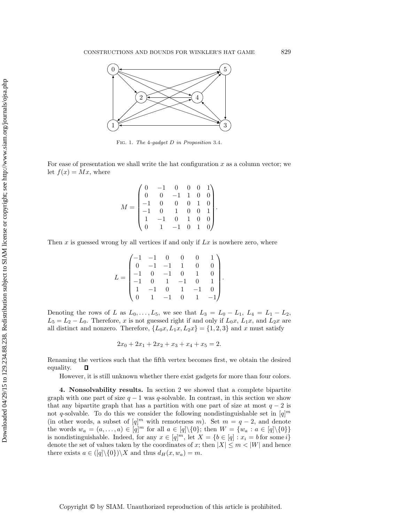

<span id="page-7-1"></span>Fig. 1. *The* 4*-gadget D in Proposition* [3.4](#page-6-0)*.*

For ease of presentation we shall write the hat configuration  $x$  as a column vector; we let  $f(x) = Mx$ , where

$$
M = \begin{pmatrix} 0 & -1 & 0 & 0 & 0 & 1 \\ 0 & 0 & -1 & 1 & 0 & 0 \\ -1 & 0 & 0 & 0 & 1 & 0 \\ -1 & 0 & 1 & 0 & 0 & 1 \\ 1 & -1 & 0 & 1 & 0 & 0 \\ 0 & 1 & -1 & 0 & 1 & 0 \end{pmatrix}.
$$

Then  $x$  is guessed wrong by all vertices if and only if  $Lx$  is nowhere zero, where

$$
L = \begin{pmatrix} -1 & -1 & 0 & 0 & 0 & 1 \\ 0 & -1 & -1 & 1 & 0 & 0 \\ -1 & 0 & -1 & 0 & 1 & 0 \\ -1 & 0 & 1 & -1 & 0 & 1 \\ 1 & -1 & 0 & 1 & -1 & 0 \\ 0 & 1 & -1 & 0 & 1 & -1 \end{pmatrix}.
$$

Denoting the rows of L as  $L_0, \ldots, L_5$ , we see that  $L_3 = L_0 - L_1$ ,  $L_4 = L_1 - L_2$ ,  $L_5 = L_2 - L_0$ . Therefore, x is not guessed right if and only if  $L_0x$ ,  $L_1x$ , and  $L_2x$  are all distinct and nonzero. Therefore,  $\{L_0x, L_1x, L_2x\} = \{1, 2, 3\}$  and x must satisfy

$$
2x_0 + 2x_1 + 2x_2 + x_3 + x_4 + x_5 = 2.
$$

Renaming the vertices such that the fifth vertex becomes first, we obtain the desired equality.  $\Box$ 

However, it is still unknown whether there exist gadgets for more than four colors.

<span id="page-7-0"></span>**4. Nonsolvability results.** In section [2](#page-2-0) we showed that a complete bipartite graph with one part of size  $q - 1$  was q-solvable. In contrast, in this section we show that any bipartite graph that has a partition with one part of size at most  $q - 2$  is not q-solvable. To do this we consider the following nondistinguishable set in  $[q]^m$ (in other words, a subset of  $[q]^m$  with remoteness m). Set  $m = q - 2$ , and denote the words  $w_a = (a, \ldots, a) \in [q]^m$  for all  $a \in [q] \setminus \{0\}$ ; then  $W = \{w_a : a \in [q] \setminus \{0\}\}\$ is nondistinguishable. Indeed, for any  $x \in [q]^m$ , let  $X = \{b \in [q] : x_i = b \text{ for some } i\}$ denote the set of values taken by the coordinates of x; then  $|X| \le m < |W|$  and hence there exists  $a \in (\lbrack q \rbrack \setminus \{0\}) \setminus X$  and thus  $d_H (x, w_a) = m$ .

Downloaded 04/29/15 to 129.234.88.238. Redistribution subject to SIAM license or copyright; see http://www.siam.org/journals/ojsa.php Downloaded 04/29/15 to 129.234.88.238. Redistribution subject to SIAM license or copyright; see http://www.siam.org/journals/ojsa.php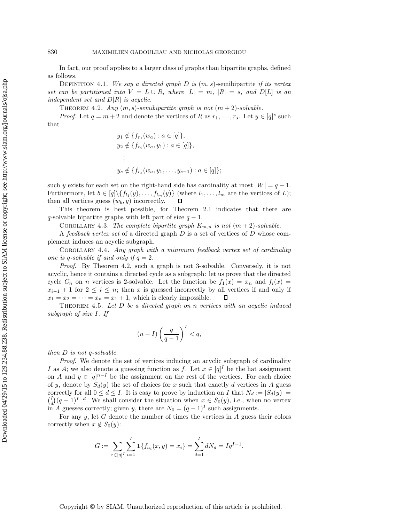In fact, our proof applies to a larger class of graphs than bipartite graphs, defined as follows.

Definition 4.1. *We say a directed graph* D *is* (m, s)*-*semibipartite *if its vertex set can be partitioned into*  $V = L \cup R$ *, where*  $|L| = m$ *,*  $|R| = s$ *, and*  $D[L]$  *is an independent set and* D[R] *is acyclic.*

<span id="page-8-0"></span>THEOREM 4.2. *Any*  $(m, s)$ -semibipartite graph is not  $(m + 2)$ -solvable.

*Proof.* Let  $q = m + 2$  and denote the vertices of R as  $r_1, \ldots, r_s$ . Let  $y \in [q]^s$  such that

$$
y_1 \notin \{f_{r_1}(w_a) : a \in [q]\},
$$
  
\n
$$
y_2 \notin \{f_{r_2}(w_a, y_1) : a \in [q]\},
$$
  
\n
$$
\vdots
$$
  
\n
$$
y_s \notin \{f_{r_s}(w_a, y_1, \dots, y_{s-1}) : a \in [q]\};
$$

such y exists for each set on the right-hand side has cardinality at most  $|W| = q - 1$ . Furthermore, let  $b \in [q] \setminus \{f_{l_1}(y),...,f_{l_m}(y)\}$  (where  $l_1,...,l_m$  are the vertices of *L*);<br>then all vertices guess  $(w_b, y)$  incorrectly. then all vertices guess  $(w_b, y)$  incorrectly.

This theorem is best possible, for Theorem [2.1](#page-3-0) indicates that there are q-solvable bipartite graphs with left part of size  $q - 1$ .

COROLLARY 4.3. The complete bipartite graph  $K_{m,n}$  is not  $(m+2)$ -solvable.

A *feedback vertex set* of a directed graph D is a set of vertices of D whose complement induces an acyclic subgraph.

Corollary 4.4. *Any graph with a minimum feedback vertex set of cardinality one is q-solvable if and only if*  $q = 2$ *.* 

*Proof*. By Theorem [4.2,](#page-8-0) such a graph is not 3-solvable. Conversely, it is not acyclic, hence it contains a directed cycle as a subgraph: let us prove that the directed cycle  $C_n$  on n vertices is 2-solvable. Let the function be  $f_1(x) = x_n$  and  $f_i(x) =$  $x_{i-1} + 1$  for  $2 \le i \le n$ ; then x is guessed incorrectly by all vertices if and only if  $x_1 = x_2 = \cdots = x_n = x_1 + 1$ , which is clearly impossible.  $\Box$  $x_1 = x_2 = \cdots = x_n = x_1 + 1$ , which is clearly impossible.

<span id="page-8-1"></span>Theorem 4.5. *Let* D *be a directed graph on* n *vertices with an acyclic induced subgraph of size* I*. If*

$$
(n-I)\left(\frac{q}{q-1}\right)^I < q,
$$

*then* D *is not* q*-solvable.*

*Proof*. We denote the set of vertices inducing an acyclic subgraph of cardinality I as A; we also denote a guessing function as f. Let  $x \in [q]^I$  be the hat assignment on A and  $y \in [q]^{n-1}$  be the assignment on the rest of the vertices. For each choice of y, denote by  $S_d(y)$  the set of choices for x such that exactly d vertices in A guess correctly for all  $0 \le d \le I$ . It is easy to prove by induction on I that  $N_d := |S_d(y)| =$  $\binom{I}{d}(q-1)^{I-d}$ . We shall consider the situation when  $x \in S_0(y)$ , i.e., when no vertex in A guesses correctly; given y, there are  $N_0 = (q-1)^I$  such assignments.

For any  $y$ , let  $G$  denote the number of times the vertices in  $A$  guess their colors correctly when  $x \notin S_0(y)$ :

$$
G := \sum_{x \in [q]^I} \sum_{i=1}^I \mathbf{1} \{ f_{a_i}(x, y) = x_i \} = \sum_{d=1}^I dN_d = Iq^{I-1}.
$$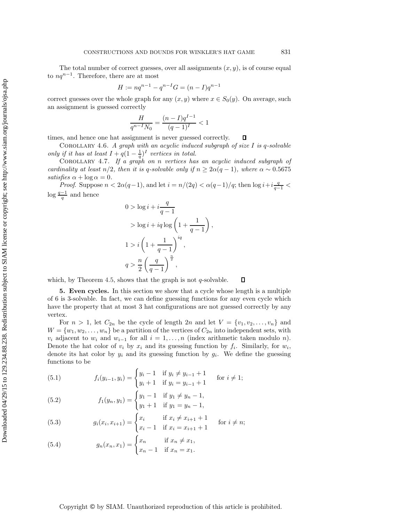The total number of correct guesses, over all assignments  $(x, y)$ , is of course equal to  $nq^{n-1}$ . Therefore, there are at most

$$
H := nq^{n-1} - q^{n-1}G = (n - I)q^{n-1}
$$

correct guesses over the whole graph for any  $(x, y)$  where  $x \in S_0(y)$ . On average, such an assignment is guessed correctly

$$
\frac{H}{q^{n-1}N_0} = \frac{(n-I)q^{I-1}}{(q-1)^I} < 1
$$

times, and hence one hat assignment is never guessed correctly.  $\Box$ 

Corollary 4.6. *A graph with an acyclic induced subgraph of size* I *is* q*-solvable only if it has at least*  $I + q(1 - \frac{1}{q})^I$  *vertices in total.* 

Corollary 4.7. *If a graph on* n *vertices has an acyclic induced subgraph of cardinality at least*  $n/2$ *, then it is q-solvable only if*  $n \geq 2\alpha(q-1)$ *, where*  $\alpha \sim 0.5675$ *satisfies*  $\alpha + \log \alpha = 0$ .

*Proof.* Suppose  $n < 2\alpha(q-1)$ , and let  $i = \frac{n}{2q} < \frac{\alpha(q-1)}{q}$ ; then  $\log i + i \frac{q}{q-1} <$  $\log \frac{q-1}{q}$  and hence

$$
0 > \log i + i \frac{q}{q-1}
$$
  
> 
$$
\log i + iq \log \left(1 + \frac{1}{q-1}\right)
$$
  

$$
1 > i \left(1 + \frac{1}{q-1}\right)^{iq},
$$
  

$$
q > \frac{n}{2} \left(\frac{q}{q-1}\right)^{\frac{n}{2}},
$$

,

<span id="page-9-0"></span>which, by Theorem [4.5,](#page-8-1) shows that the graph is not  $q$ -solvable. Д

**5. Even cycles.** In this section we show that a cycle whose length is a multiple of 6 is 3-solvable. In fact, we can define guessing functions for any even cycle which have the property that at most 3 hat configurations are not guessed correctly by any vertex.

For  $n > 1$ , let  $C_{2n}$  be the cycle of length  $2n$  and let  $V = \{v_1, v_2, \ldots, v_n\}$  and  $W = \{w_1, w_2, \ldots, w_n\}$  be a partition of the vertices of  $C_{2n}$  into independent sets, with  $v_i$  adjacent to  $w_i$  and  $w_{i-1}$  for all  $i = 1, \ldots, n$  (index arithmetic taken modulo n). Denote the hat color of  $v_i$  by  $x_i$  and its guessing function by  $f_i$ . Similarly, for  $w_i$ , denote its hat color by  $y_i$  and its guessing function by  $g_i$ . We define the guessing functions to be

(5.1) 
$$
f_i(y_{i-1}, y_i) = \begin{cases} y_i - 1 & \text{if } y_i \neq y_{i-1} + 1 \\ y_i + 1 & \text{if } y_i = y_{i-1} + 1 \end{cases} \text{ for } i \neq 1;
$$

(5.2) 
$$
f_1(y_n, y_1) = \begin{cases} y_1 - 1 & \text{if } y_1 \neq y_n - 1, \\ y_1 + 1 & \text{if } y_1 = y_n - 1, \end{cases}
$$

(5.3) 
$$
g_i(x_i, x_{i+1}) = \begin{cases} x_i & \text{if } x_i \neq x_{i+1} + 1 \\ x_i - 1 & \text{if } x_i = x_{i+1} + 1 \end{cases} \text{ for } i \neq n;
$$

(5.4) 
$$
g_n(x_n, x_1) = \begin{cases} x_n & \text{if } x_n \neq x_1, \\ x_n - 1 & \text{if } x_n = x_1. \end{cases}
$$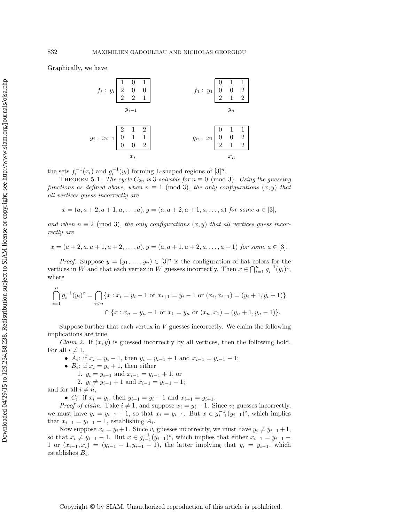Graphically, we have

$$
f_i: y_i \begin{bmatrix} 1 & 0 & 1 \\ 2 & 0 & 0 \\ 2 & 2 & 1 \end{bmatrix} \qquad f_1: y_1 \begin{bmatrix} 0 & 1 & 1 \\ 0 & 0 & 2 \\ 2 & 1 & 2 \end{bmatrix}
$$
  

$$
y_{i-1} \qquad y_n
$$
  

$$
g_i: x_{i+1} \begin{bmatrix} 2 & 1 & 2 \\ 0 & 1 & 1 \\ 0 & 0 & 2 \end{bmatrix} \qquad g_n: x_1 \begin{bmatrix} 0 & 1 & 1 \\ 0 & 0 & 2 \\ 2 & 1 & 2 \end{bmatrix}
$$
  

$$
x_i \qquad x_n
$$

the sets  $f_i^{-1}(x_i)$  and  $g_i^{-1}(y_i)$  forming L-shaped regions of  $[3]^n$ .

THEOREM 5.1. *The cycle*  $C_{2n}$  *is* 3*-solvable for*  $n \equiv 0 \pmod{3}$ *. Using the guessing functions as defined above, when*  $n \equiv 1 \pmod{3}$ *, the only configurations*  $(x, y)$  *that all vertices guess incorrectly are*

$$
x = (a, a + 2, a + 1, a, \dots, a), y = (a, a + 2, a + 1, a, \dots, a)
$$
 for some  $a \in [3]$ ,

and when  $n \equiv 2 \pmod{3}$ , the only configurations  $(x, y)$  that all vertices guess incor*rectly are*

 $x = (a+2, a, a+1, a+2, \ldots, a), y = (a, a+1, a+2, a, \ldots, a+1)$  *for some*  $a \in [3]$ .

*Proof.* Suppose  $y = (y_1, \ldots, y_n) \in [3]^n$  is the configuration of hat colors for the vertices in W and that each vertex in W guesses incorrectly. Then  $x \in \bigcap_{i=1}^{n} g_i^{-1}(y_i)^c$ , where

$$
\bigcap_{i=1}^{n} g_i^{-1}(y_i)^c = \bigcap_{i < n} \{x : x_i = y_i - 1 \text{ or } x_{i+1} = y_i - 1 \text{ or } (x_i, x_{i+1}) = (y_i + 1, y_i + 1)\}
$$
\n
$$
\bigcap \{x : x_n = y_n - 1 \text{ or } x_1 = y_n \text{ or } (x_n, x_1) = (y_n + 1, y_n - 1)\}.
$$

Suppose further that each vertex in  $V$  guesses incorrectly. We claim the following implications are true.

*Claim* 2. If  $(x, y)$  is guessed incorrectly by all vertices, then the following hold. For all  $i \neq 1$ ,

- $A_i$ : if  $x_i = y_i 1$ , then  $y_i = y_{i-1} + 1$  and  $x_{i-1} = y_{i-1} 1$ ;
- $B_i$ : if  $x_i = y_i + 1$ , then either
	- 1.  $y_i = y_{i-1}$  and  $x_{i-1} = y_{i-1} + 1$ , or
- 2.  $y_i \neq y_{i-1} + 1$  and  $x_{i-1} = y_{i-1} 1$ ;

and for all  $i \neq n$ ,

•  $C_i$ : if  $x_i = y_i$ , then  $y_{i+1} = y_i - 1$  and  $x_{i+1} = y_{i+1}$ .

*Proof of claim.* Take  $i \neq 1$ , and suppose  $x_i = y_i - 1$ . Since  $v_i$  guesses incorrectly, we must have  $y_i = y_{i-1} + 1$ , so that  $x_i = y_{i-1}$ . But  $x \in g_{i-1}^{-1}(y_{i-1})^c$ , which implies that  $x_{i-1} = y_{i-1} - 1$ , establishing  $A_i$ .

Now suppose  $x_i = y_i + 1$ . Since  $v_i$  guesses incorrectly, we must have  $y_i \neq y_{i-1} + 1$ , so that  $x_i \neq y_{i-1} - 1$ . But  $x \in g_{i-1}^{-1}(y_{i-1})^c$ , which implies that either  $x_{i-1} = y_{i-1} - 1$  or  $(x_{i-1}, x_i) = (y_{i-1} + 1, y_{i-1} + 1)$ , the latter implying that  $y_i = y_{i-1}$  which 1 or  $(x_{i-1}, x_i) = (y_{i-1} + 1, y_{i-1} + 1)$ , the latter implying that  $y_i = y_{i-1}$ , which establishes  $B_i$ .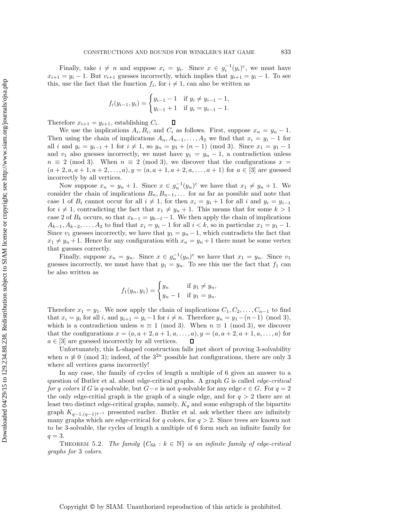Finally, take  $i \neq n$  and suppose  $x_i = y_i$ . Since  $x \in g_i^{-1}(y_i)^c$ , we must have  $x_{i+1} = y_i - 1$ . But  $v_{i+1}$  guesses incorrectly, which implies that  $y_{i+1} = y_i - 1$ . To see this, use the fact that the function  $f_i$ , for  $i \neq 1$ , can also be written as

$$
f_i(y_{i-1}, y_i) = \begin{cases} y_{i-1} - 1 & \text{if } y_i \neq y_{i-1} - 1, \\ y_{i-1} + 1 & \text{if } y_i = y_{i-1} - 1. \end{cases}
$$

Therefore  $x_{i+1} = y_{i+1}$ , establishing  $C_i$ .  $\Box$ 

We use the implications  $A_i, B_i$ , and  $C_i$  as follows. First, suppose  $x_n = y_n - 1$ . Then using the chain of implications  $A_n, A_{n-1}, \ldots, A_2$  we find that  $x_i = y_i - 1$  for all *i* and  $y_i = y_{i-1} + 1$  for  $i \neq 1$ , so  $y_n = y_1 + (n-1) \pmod{3}$ . Since  $x_1 = y_1 - 1$ and  $v_1$  also guesses incorrectly, we must have  $y_1 = y_n - 1$ , a contradiction unless  $n \equiv 2 \pmod{3}$ . When  $n \equiv 2 \pmod{3}$ , we discover that the configurations  $x =$  $(a+2, a, a+1, a+2, \ldots, a), y = (a, a+1, a+2, a, \ldots, a+1)$  for  $a \in [3]$  are guessed incorrectly by all vertices.

Now suppose  $x_n = y_n + 1$ . Since  $x \in g_n^{-1}(y_n)$ <sup>c</sup> we have that  $x_1 \neq y_n + 1$ . We consider the chain of implications  $B_n, B_{n-1}, \ldots$  for as far as possible and note that case 1 of  $B_i$  cannot occur for all  $i \neq 1$ , for then  $x_i = y_i + 1$  for all i and  $y_i = y_{i-1}$ for  $i \neq 1$ , contradicting the fact that  $x_1 \neq y_n + 1$ . This means that for some  $k > 1$ case 2 of  $B_k$  occurs, so that  $x_{k-1} = y_{k-1} - 1$ . We then apply the chain of implications  $A_{k-1}, A_{k-2}, \ldots, A_2$  to find that  $x_i = y_i - 1$  for all  $i < k$ , so in particular  $x_1 = y_1 - 1$ . Since  $v_1$  guesses incorrectly, we have that  $y_1 = y_n - 1$ , which contradicts the fact that  $x_1 \neq y_n + 1$ . Hence for any configuration with  $x_n = y_n + 1$  there must be some vertex that guesses correctly.

Finally, suppose  $x_n = y_n$ . Since  $x \in g_n^{-1}(y_n)$ <sup>c</sup> we have that  $x_1 = y_n$ . Since  $v_1$ guesses incorrectly, we must have that  $y_1 = y_n$ . To see this use the fact that  $f_1$  can be also written as

$$
f_1(y_n, y_1) = \begin{cases} y_n & \text{if } y_1 \neq y_n, \\ y_n - 1 & \text{if } y_1 = y_n. \end{cases}
$$

Therefore  $x_1 = y_1$ . We now apply the chain of implications  $C_1, C_2, \ldots, C_{n-1}$  to find that  $x_i = y_i$  for all i, and  $y_{i+1} = y_i-1$  for  $i \neq n$ . Therefore  $y_n = y_1-(n-1) \pmod{3}$ , which is a contradiction unless  $n \equiv 1 \pmod{3}$ . When  $n \equiv 1 \pmod{3}$ , we discover that the configurations  $x = (a, a + 2, a + 1, a, ..., a), y = (a, a + 2, a + 1, a, ..., a)$  for  $a \in [3]$  are guessed incorrectly by all vertices.  $\mathsf{\Pi}$ 

Unfortunately, this L-shaped construction falls just short of proving 3-solvability when  $n \not\equiv 0 \pmod{3}$ ; indeed, of the  $3^{2n}$  possible hat configurations, there are only 3 where all vertices guess incorrectly!

In any case, the family of cycles of length a multiple of 6 gives an answer to a question of Butler et al. about edge-critical graphs. A graph G is called *edge-critical for* q colors if G is q-solvable, but  $G-e$  is not q-solvable for any edge  $e \in G$ . For  $q = 2$ the only edge-critial graph is the graph of a single edge, and for  $q > 2$  there are at least two distinct edge-critical graphs, namely,  $K_q$  and some subgraph of the bipartite graph  $K_{q-1,(q-1)^{q-1}}$  presented earlier. Butler et al. ask whether there are infinitely many graphs which are edge-critical for  $q$  colors, for  $q > 2$ . Since trees are known not to be 3-solvable, the cycles of length a multiple of 6 form such an infinite family for  $q=3$ .

THEOREM 5.2. *The family*  $\{C_{6k} : k \in \mathbb{N}\}\$  *is an infinite family of edge-critical graphs for* 3 *colors.*